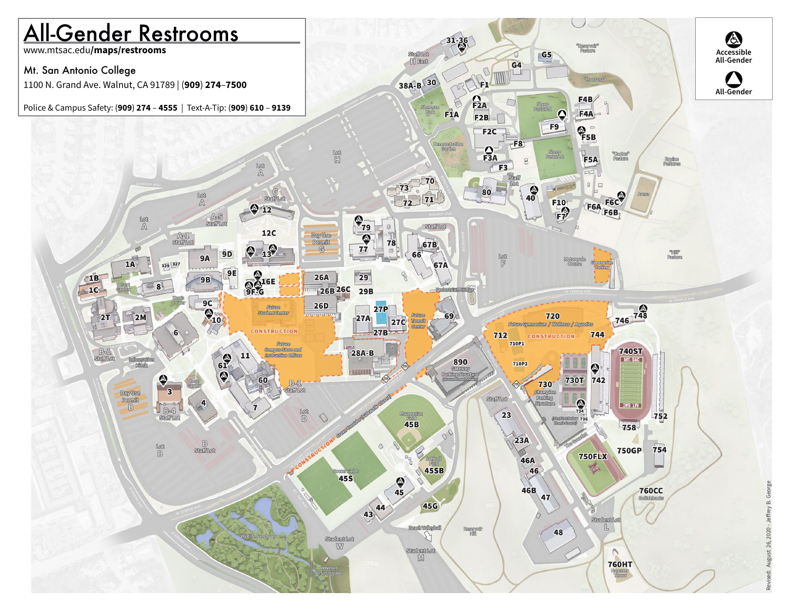